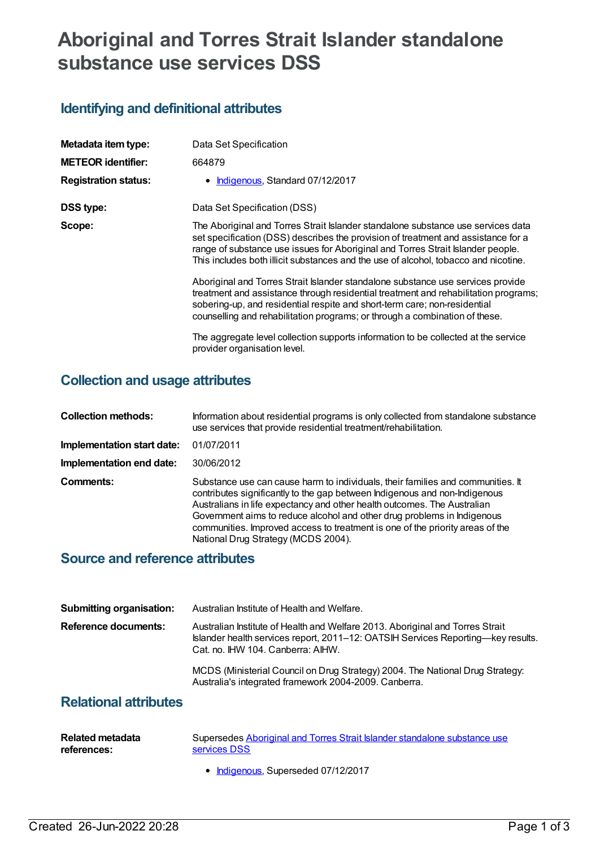# **Aboriginal and Torres Strait Islander standalone substance use services DSS**

## **Identifying and definitional attributes**

| Metadata item type:         | Data Set Specification                                                                                                                                                                                                                                                                                                                          |
|-----------------------------|-------------------------------------------------------------------------------------------------------------------------------------------------------------------------------------------------------------------------------------------------------------------------------------------------------------------------------------------------|
| <b>METEOR identifier:</b>   | 664879                                                                                                                                                                                                                                                                                                                                          |
| <b>Registration status:</b> | • Indigenous, Standard 07/12/2017                                                                                                                                                                                                                                                                                                               |
| DSS type:                   | Data Set Specification (DSS)                                                                                                                                                                                                                                                                                                                    |
| Scope:                      | The Aboriginal and Torres Strait Islander standalone substance use services data<br>set specification (DSS) describes the provision of treatment and assistance for a<br>range of substance use issues for Aboriginal and Torres Strait Islander people.<br>This includes both illicit substances and the use of alcohol, tobacco and nicotine. |
|                             | Aboriginal and Torres Strait Islander standalone substance use services provide<br>treatment and assistance through residential treatment and rehabilitation programs;<br>sobering-up, and residential respite and short-term care; non-residential<br>counselling and rehabilitation programs; or through a combination of these.              |
|                             | The aggregate level collection supports information to be collected at the service<br>provider organisation level.                                                                                                                                                                                                                              |

### **Collection and usage attributes**

| <b>Collection methods:</b> | Information about residential programs is only collected from standalone substance<br>use services that provide residential treatment/rehabilitation.                                                                                                                                                                                                                                                                                        |
|----------------------------|----------------------------------------------------------------------------------------------------------------------------------------------------------------------------------------------------------------------------------------------------------------------------------------------------------------------------------------------------------------------------------------------------------------------------------------------|
| Implementation start date: | 01/07/2011                                                                                                                                                                                                                                                                                                                                                                                                                                   |
| Implementation end date:   | 30/06/2012                                                                                                                                                                                                                                                                                                                                                                                                                                   |
| Comments:                  | Substance use can cause harm to individuals, their families and communities. It<br>contributes significantly to the gap between Indigenous and non-Indigenous<br>Australians in life expectancy and other health outcomes. The Australian<br>Government aims to reduce alcohol and other drug problems in Indigenous<br>communities. Improved access to treatment is one of the priority areas of the<br>National Drug Strategy (MCDS 2004). |

### **Source and reference attributes**

| <b>Submitting organisation:</b> | Australian Institute of Health and Welfare.                                                                                                                                                            |
|---------------------------------|--------------------------------------------------------------------------------------------------------------------------------------------------------------------------------------------------------|
|                                 |                                                                                                                                                                                                        |
| <b>Reference documents:</b>     | Australian Institute of Health and Welfare 2013. Aboriginal and Torres Strait<br>Islander health services report, 2011–12: OATSIH Services Reporting—key results.<br>Cat. no. IHW 104. Canberra: AIHW. |
|                                 | MCDS (Ministerial Council on Drug Strategy) 2004. The National Drug Strategy:<br>Australia's integrated framework 2004-2009. Canberra.                                                                 |

#### **Relational attributes**

| Related metadata | Supersedes Aboriginal and Torres Strait Islander standalone substance use |
|------------------|---------------------------------------------------------------------------|
| references:      | services DSS                                                              |

• [Indigenous](https://meteor.aihw.gov.au/RegistrationAuthority/6), Superseded 07/12/2017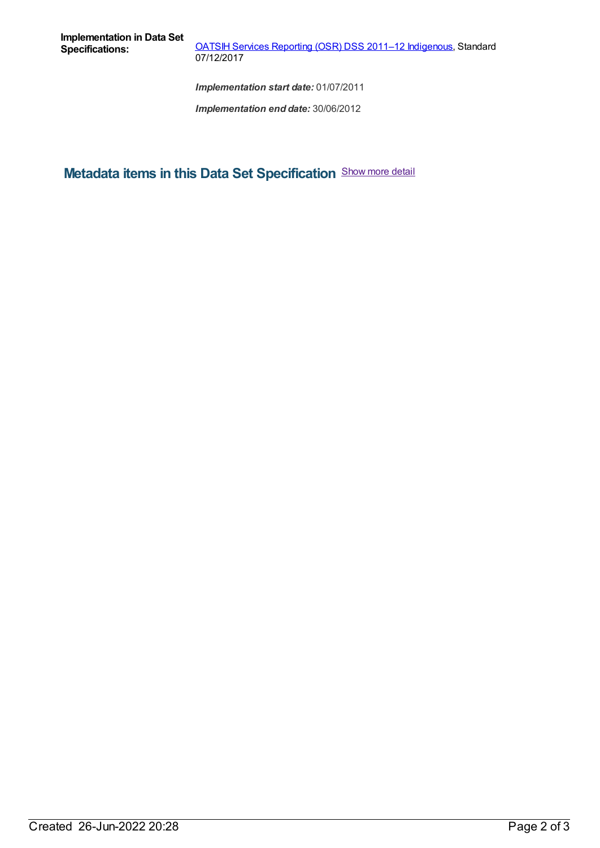**OATSIH Services [Reporting](https://meteor.aihw.gov.au/content/664875) (OSR) DSS 2011-12 [Indigenous](https://meteor.aihw.gov.au/RegistrationAuthority/6), Standard** 07/12/2017

*Implementation start date:* 01/07/2011

*Implementation end date:* 30/06/2012

**Metadata items in this Data Set Specification** Show more detail